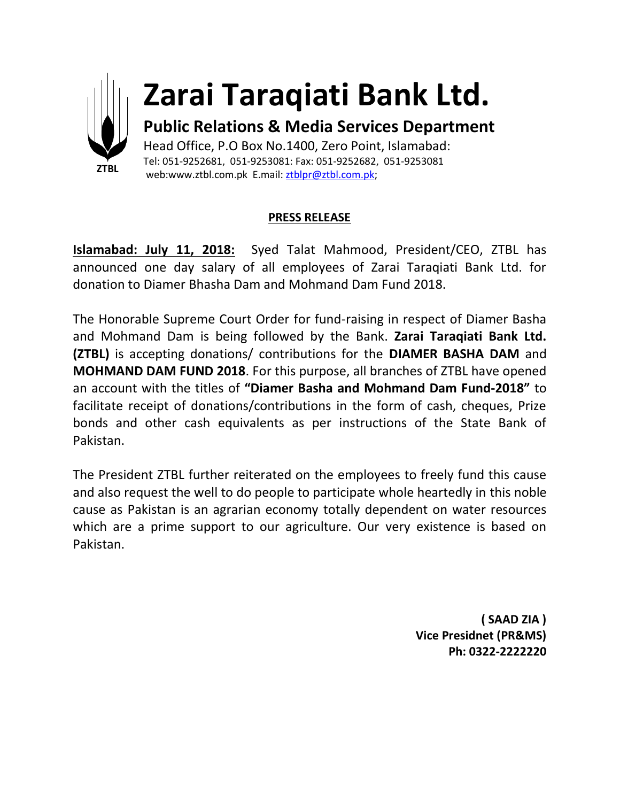

## **Zarai Taraqiati Bank Ltd.**

**Public Relations & Media Services Department** Head Office, P.O Box No.1400, Zero Point, Islamabad: Tel: 051-9252681, 051-9253081: Fax: 051-9252682, 051-9253081

web:www.ztbl.com.pk E.mail: ztblpr@ztbl.com.pk;

## **PRESS RELEASE**

**Islamabad: July 11, 2018:** Syed Talat Mahmood, President/CEO, ZTBL has announced one day salary of all employees of Zarai Taraqiati Bank Ltd. for donation to Diamer Bhasha Dam and Mohmand Dam Fund 2018.

The Honorable Supreme Court Order for fund-raising in respect of Diamer Basha and Mohmand Dam is being followed by the Bank. **Zarai Taraqiati Bank Ltd. (ZTBL)** is accepting donations/ contributions for the **DIAMER BASHA DAM** and **MOHMAND DAM FUND 2018**. For this purpose, all branches of ZTBL have opened an account with the titles of **"Diamer Basha and Mohmand Dam Fund-2018"** to facilitate receipt of donations/contributions in the form of cash, cheques, Prize bonds and other cash equivalents as per instructions of the State Bank of Pakistan.

The President ZTBL further reiterated on the employees to freely fund this cause and also request the well to do people to participate whole heartedly in this noble cause as Pakistan is an agrarian economy totally dependent on water resources which are a prime support to our agriculture. Our very existence is based on Pakistan.

> **( SAAD ZIA ) Vice Presidnet (PR&MS) Ph: 0322-2222220**